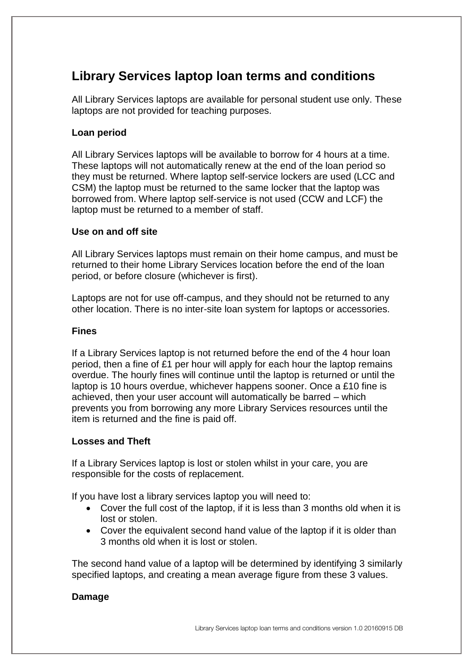# **Library Services laptop loan terms and conditions**

All Library Services laptops are available for personal student use only. These laptops are not provided for teaching purposes.

### **Loan period**

All Library Services laptops will be available to borrow for 4 hours at a time. These laptops will not automatically renew at the end of the loan period so they must be returned. Where laptop self-service lockers are used (LCC and CSM) the laptop must be returned to the same locker that the laptop was borrowed from. Where laptop self-service is not used (CCW and LCF) the laptop must be returned to a member of staff.

#### **Use on and off site**

All Library Services laptops must remain on their home campus, and must be returned to their home Library Services location before the end of the loan period, or before closure (whichever is first).

Laptops are not for use off-campus, and they should not be returned to any other location. There is no inter-site loan system for laptops or accessories.

#### **Fines**

If a Library Services laptop is not returned before the end of the 4 hour loan period, then a fine of £1 per hour will apply for each hour the laptop remains overdue. The hourly fines will continue until the laptop is returned or until the laptop is 10 hours overdue, whichever happens sooner. Once a £10 fine is achieved, then your user account will automatically be barred – which prevents you from borrowing any more Library Services resources until the item is returned and the fine is paid off.

#### **Losses and Theft**

If a Library Services laptop is lost or stolen whilst in your care, you are responsible for the costs of replacement.

If you have lost a library services laptop you will need to:

- Cover the full cost of the laptop, if it is less than 3 months old when it is lost or stolen.
- Cover the equivalent second hand value of the laptop if it is older than 3 months old when it is lost or stolen.

The second hand value of a laptop will be determined by identifying 3 similarly specified laptops, and creating a mean average figure from these 3 values.

## **Damage**